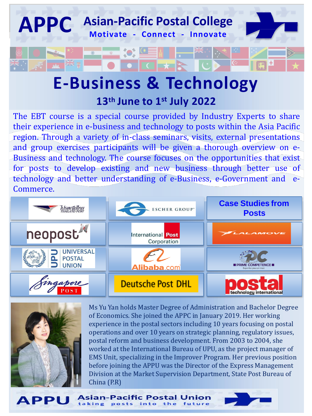

## **E-Business & Technology 13th June to 1 st July 2022**

The EBT course is a special course provided by Industry Experts to share their experience in e-business and technology to posts within the Asia Pacific region. Through a variety of in-class seminars, visits, external presentations and group exercises participants will be given a thorough overview on e-Business and technology. The course focuses on the opportunities that exist for posts to develop existing and new business through better use of technology and better understanding of e-Business, e-Government and e-Commerce.





Ms Yu Yan holds Master Degree of Administration and Bachelor Degree of Economics. She joined the APPC in January 2019. Her working experience in the postal sectors including 10 years focusing on postal operations and over 10 years on strategic planning, regulatory issues, postal reform and business development. From 2003 to 2004, she worked at the International Bureau of UPU, as the project manager of EMS Unit, specializing in the Improver Program. Her previous position before joining the APPU was the Director of the Express Management Division at the Market Supervision Department, State Post Bureau of China (P.R)